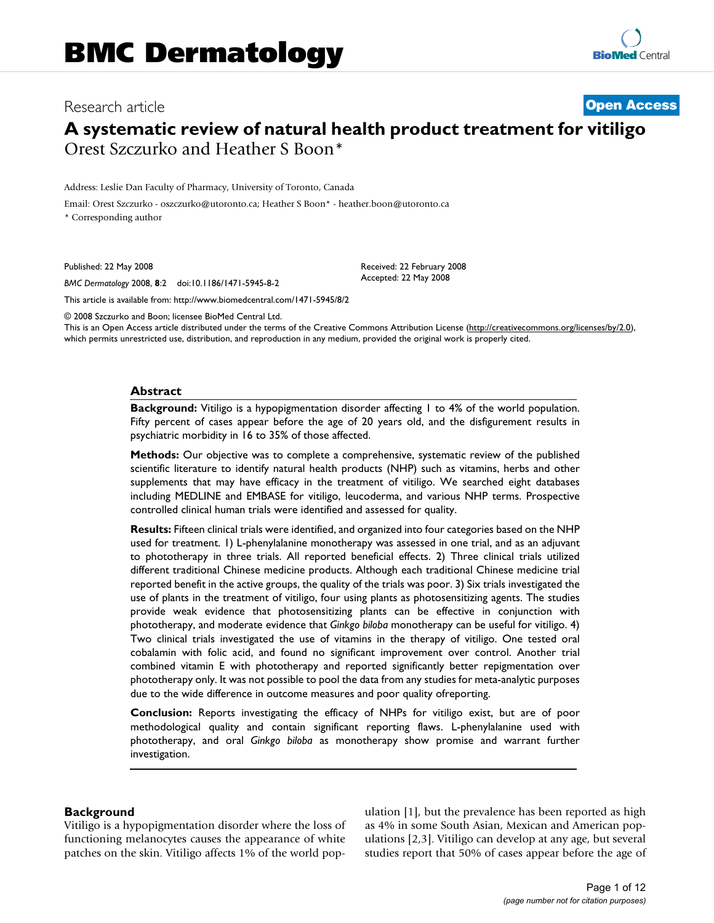# **A systematic review of natural health product treatment for vitiligo** Orest Szczurko and Heather S Boon\*

Address: Leslie Dan Faculty of Pharmacy, University of Toronto, Canada

Email: Orest Szczurko - oszczurko@utoronto.ca; Heather S Boon\* - heather.boon@utoronto.ca

\* Corresponding author

Published: 22 May 2008

*BMC Dermatology* 2008, **8**:2 doi:10.1186/1471-5945-8-2

[This article is available from: http://www.biomedcentral.com/1471-5945/8/2](http://www.biomedcentral.com/1471-5945/8/2)

© 2008 Szczurko and Boon; licensee BioMed Central Ltd.

This is an Open Access article distributed under the terms of the Creative Commons Attribution License [\(http://creativecommons.org/licenses/by/2.0\)](http://creativecommons.org/licenses/by/2.0), which permits unrestricted use, distribution, and reproduction in any medium, provided the original work is properly cited.

Received: 22 February 2008 Accepted: 22 May 2008

## **Abstract**

**Background:** Vitiligo is a hypopigmentation disorder affecting 1 to 4% of the world population. Fifty percent of cases appear before the age of 20 years old, and the disfigurement results in psychiatric morbidity in 16 to 35% of those affected.

**Methods:** Our objective was to complete a comprehensive, systematic review of the published scientific literature to identify natural health products (NHP) such as vitamins, herbs and other supplements that may have efficacy in the treatment of vitiligo. We searched eight databases including MEDLINE and EMBASE for vitiligo, leucoderma, and various NHP terms. Prospective controlled clinical human trials were identified and assessed for quality.

**Results:** Fifteen clinical trials were identified, and organized into four categories based on the NHP used for treatment. 1) L-phenylalanine monotherapy was assessed in one trial, and as an adjuvant to phototherapy in three trials. All reported beneficial effects. 2) Three clinical trials utilized different traditional Chinese medicine products. Although each traditional Chinese medicine trial reported benefit in the active groups, the quality of the trials was poor. 3) Six trials investigated the use of plants in the treatment of vitiligo, four using plants as photosensitizing agents. The studies provide weak evidence that photosensitizing plants can be effective in conjunction with phototherapy, and moderate evidence that *Ginkgo biloba* monotherapy can be useful for vitiligo. 4) Two clinical trials investigated the use of vitamins in the therapy of vitiligo. One tested oral cobalamin with folic acid, and found no significant improvement over control. Another trial combined vitamin E with phototherapy and reported significantly better repigmentation over phototherapy only. It was not possible to pool the data from any studies for meta-analytic purposes due to the wide difference in outcome measures and poor quality ofreporting.

**Conclusion:** Reports investigating the efficacy of NHPs for vitiligo exist, but are of poor methodological quality and contain significant reporting flaws. L-phenylalanine used with phototherapy, and oral *Ginkgo biloba* as monotherapy show promise and warrant further investigation.

## **Background**

Vitiligo is a hypopigmentation disorder where the loss of functioning melanocytes causes the appearance of white patches on the skin. Vitiligo affects 1% of the world population [1], but the prevalence has been reported as high as 4% in some South Asian, Mexican and American populations [2,3]. Vitiligo can develop at any age, but several studies report that 50% of cases appear before the age of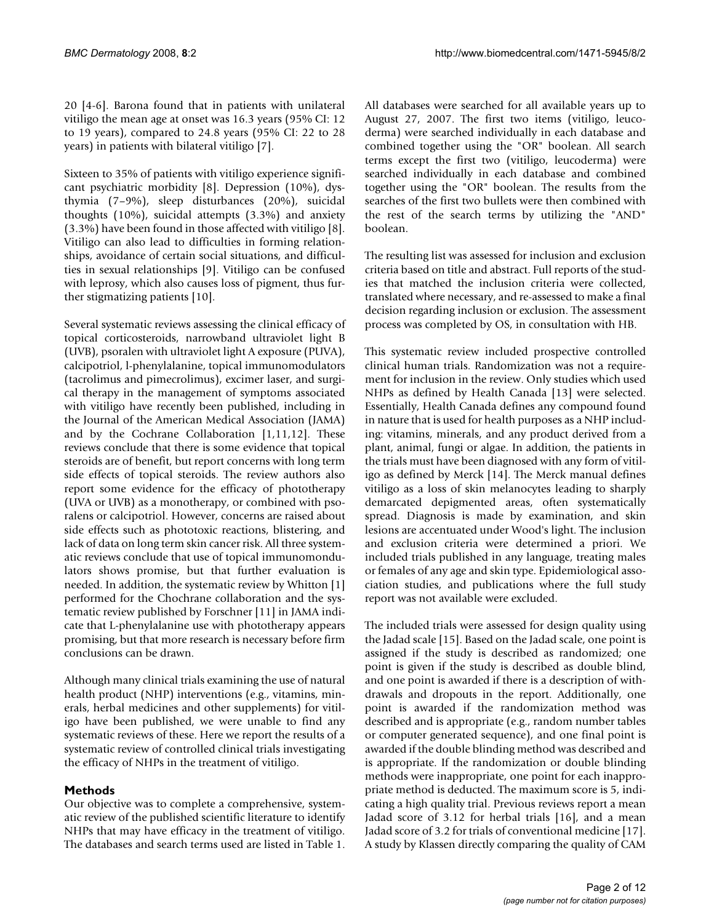20 [4-6]. Barona found that in patients with unilateral vitiligo the mean age at onset was 16.3 years (95% CI: 12 to 19 years), compared to 24.8 years (95% CI: 22 to 28 years) in patients with bilateral vitiligo [7].

Sixteen to 35% of patients with vitiligo experience significant psychiatric morbidity [8]. Depression (10%), dysthymia (7–9%), sleep disturbances (20%), suicidal thoughts (10%), suicidal attempts (3.3%) and anxiety (3.3%) have been found in those affected with vitiligo [8]. Vitiligo can also lead to difficulties in forming relationships, avoidance of certain social situations, and difficulties in sexual relationships [9]. Vitiligo can be confused with leprosy, which also causes loss of pigment, thus further stigmatizing patients [10].

Several systematic reviews assessing the clinical efficacy of topical corticosteroids, narrowband ultraviolet light B (UVB), psoralen with ultraviolet light A exposure (PUVA), calcipotriol, l-phenylalanine, topical immunomodulators (tacrolimus and pimecrolimus), excimer laser, and surgical therapy in the management of symptoms associated with vitiligo have recently been published, including in the Journal of the American Medical Association (JAMA) and by the Cochrane Collaboration [1,11,12]. These reviews conclude that there is some evidence that topical steroids are of benefit, but report concerns with long term side effects of topical steroids. The review authors also report some evidence for the efficacy of phototherapy (UVA or UVB) as a monotherapy, or combined with psoralens or calcipotriol. However, concerns are raised about side effects such as phototoxic reactions, blistering, and lack of data on long term skin cancer risk. All three systematic reviews conclude that use of topical immunomondulators shows promise, but that further evaluation is needed. In addition, the systematic review by Whitton [1] performed for the Chochrane collaboration and the systematic review published by Forschner [11] in JAMA indicate that L-phenylalanine use with phototherapy appears promising, but that more research is necessary before firm conclusions can be drawn.

Although many clinical trials examining the use of natural health product (NHP) interventions (e.g., vitamins, minerals, herbal medicines and other supplements) for vitiligo have been published, we were unable to find any systematic reviews of these. Here we report the results of a systematic review of controlled clinical trials investigating the efficacy of NHPs in the treatment of vitiligo.

# **Methods**

Our objective was to complete a comprehensive, systematic review of the published scientific literature to identify NHPs that may have efficacy in the treatment of vitiligo. The databases and search terms used are listed in Table 1.

All databases were searched for all available years up to August 27, 2007. The first two items (vitiligo, leucoderma) were searched individually in each database and combined together using the "OR" boolean. All search terms except the first two (vitiligo, leucoderma) were searched individually in each database and combined together using the "OR" boolean. The results from the searches of the first two bullets were then combined with the rest of the search terms by utilizing the "AND" boolean.

The resulting list was assessed for inclusion and exclusion criteria based on title and abstract. Full reports of the studies that matched the inclusion criteria were collected, translated where necessary, and re-assessed to make a final decision regarding inclusion or exclusion. The assessment process was completed by OS, in consultation with HB.

This systematic review included prospective controlled clinical human trials. Randomization was not a requirement for inclusion in the review. Only studies which used NHPs as defined by Health Canada [13] were selected. Essentially, Health Canada defines any compound found in nature that is used for health purposes as a NHP including: vitamins, minerals, and any product derived from a plant, animal, fungi or algae. In addition, the patients in the trials must have been diagnosed with any form of vitiligo as defined by Merck [14]. The Merck manual defines vitiligo as a loss of skin melanocytes leading to sharply demarcated depigmented areas, often systematically spread. Diagnosis is made by examination, and skin lesions are accentuated under Wood's light. The inclusion and exclusion criteria were determined a priori. We included trials published in any language, treating males or females of any age and skin type. Epidemiological association studies, and publications where the full study report was not available were excluded.

The included trials were assessed for design quality using the Jadad scale [15]. Based on the Jadad scale, one point is assigned if the study is described as randomized; one point is given if the study is described as double blind, and one point is awarded if there is a description of withdrawals and dropouts in the report. Additionally, one point is awarded if the randomization method was described and is appropriate (e.g., random number tables or computer generated sequence), and one final point is awarded if the double blinding method was described and is appropriate. If the randomization or double blinding methods were inappropriate, one point for each inappropriate method is deducted. The maximum score is 5, indicating a high quality trial. Previous reviews report a mean Jadad score of 3.12 for herbal trials [16], and a mean Jadad score of 3.2 for trials of conventional medicine [17]. A study by Klassen directly comparing the quality of CAM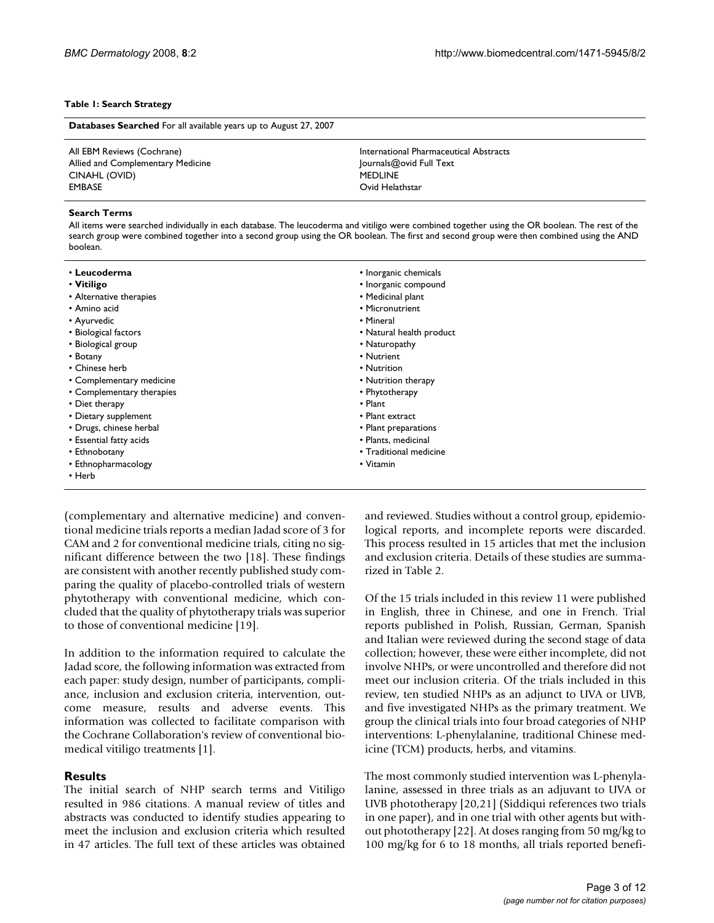#### **Table 1: Search Strategy**

| <b>Databases Searched</b> For all available years up to August 27, 2007 |                                        |  |  |  |  |  |  |
|-------------------------------------------------------------------------|----------------------------------------|--|--|--|--|--|--|
| All EBM Reviews (Cochrane)                                              | International Pharmaceutical Abstracts |  |  |  |  |  |  |
| Allied and Complementary Medicine                                       | Journals@ovid Full Text                |  |  |  |  |  |  |
| CINAHL (OVID)                                                           | <b>MEDLINE</b>                         |  |  |  |  |  |  |
| <b>EMBASE</b>                                                           | Ovid Helathstar                        |  |  |  |  |  |  |

#### **Search Terms**

All items were searched individually in each database. The leucoderma and vitiligo were combined together using the OR boolean. The rest of the search group were combined together into a second group using the OR boolean. The first and second group were then combined using the AND boolean.

(complementary and alternative medicine) and conventional medicine trials reports a median Jadad score of 3 for CAM and 2 for conventional medicine trials, citing no significant difference between the two [18]. These findings are consistent with another recently published study comparing the quality of placebo-controlled trials of western phytotherapy with conventional medicine, which concluded that the quality of phytotherapy trials was superior to those of conventional medicine [19].

In addition to the information required to calculate the Jadad score, the following information was extracted from each paper: study design, number of participants, compliance, inclusion and exclusion criteria, intervention, outcome measure, results and adverse events. This information was collected to facilitate comparison with the Cochrane Collaboration's review of conventional biomedical vitiligo treatments [1].

# **Results**

The initial search of NHP search terms and Vitiligo resulted in 986 citations. A manual review of titles and abstracts was conducted to identify studies appearing to meet the inclusion and exclusion criteria which resulted in 47 articles. The full text of these articles was obtained

and reviewed. Studies without a control group, epidemiological reports, and incomplete reports were discarded. This process resulted in 15 articles that met the inclusion and exclusion criteria. Details of these studies are summarized in Table 2.

Of the 15 trials included in this review 11 were published in English, three in Chinese, and one in French. Trial reports published in Polish, Russian, German, Spanish and Italian were reviewed during the second stage of data collection; however, these were either incomplete, did not involve NHPs, or were uncontrolled and therefore did not meet our inclusion criteria. Of the trials included in this review, ten studied NHPs as an adjunct to UVA or UVB, and five investigated NHPs as the primary treatment. We group the clinical trials into four broad categories of NHP interventions: L-phenylalanine, traditional Chinese medicine (TCM) products, herbs, and vitamins.

The most commonly studied intervention was L-phenylalanine, assessed in three trials as an adjuvant to UVA or UVB phototherapy [20,21] (Siddiqui references two trials in one paper), and in one trial with other agents but without phototherapy [22]. At doses ranging from 50 mg/kg to 100 mg/kg for 6 to 18 months, all trials reported benefi-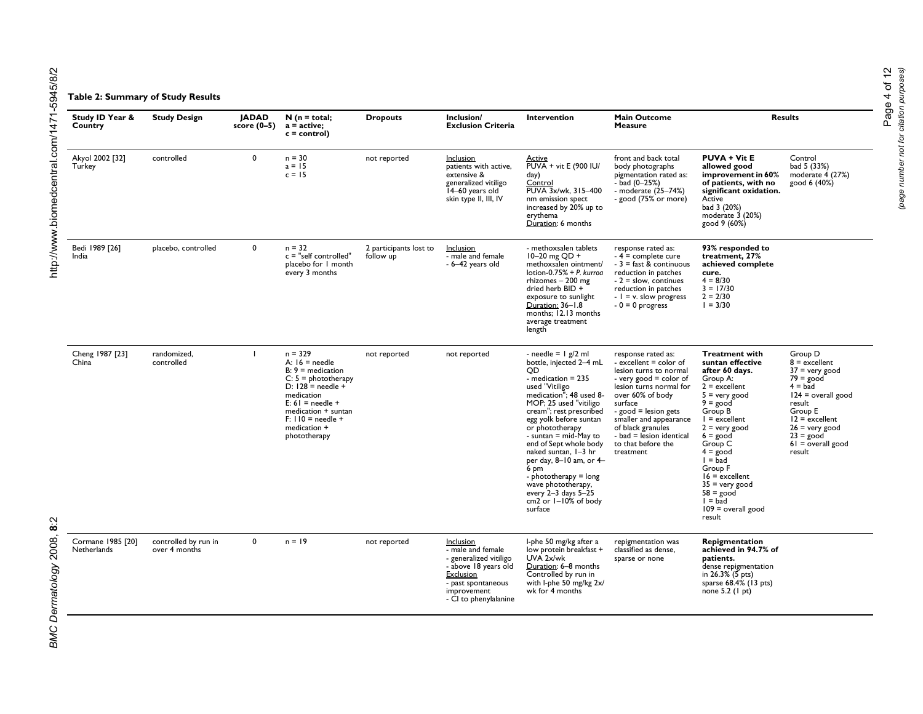## **Table 2: Summary of Study Results**

| Study ID Year &<br>Country              | <b>Study Design</b>                   | <b>JADAD</b><br>score (0-5) | $N(n = total;$<br>$a = active;$<br>$c = control$ )                                                                                                                                                                     | <b>Dropouts</b>                     | Inclusion/<br><b>Exclusion Criteria</b>                                                                                                                     | Intervention                                                                                                                                                                                                                                                                                                                                                                                                                                                        | Main Outcome<br><b>Measure</b>                                                                                                                                                                                                                                                                       |                                                                                                                                                                                                                                                                                                                                                          | <b>Results</b>                                                                                                                                                                                                         |
|-----------------------------------------|---------------------------------------|-----------------------------|------------------------------------------------------------------------------------------------------------------------------------------------------------------------------------------------------------------------|-------------------------------------|-------------------------------------------------------------------------------------------------------------------------------------------------------------|---------------------------------------------------------------------------------------------------------------------------------------------------------------------------------------------------------------------------------------------------------------------------------------------------------------------------------------------------------------------------------------------------------------------------------------------------------------------|------------------------------------------------------------------------------------------------------------------------------------------------------------------------------------------------------------------------------------------------------------------------------------------------------|----------------------------------------------------------------------------------------------------------------------------------------------------------------------------------------------------------------------------------------------------------------------------------------------------------------------------------------------------------|------------------------------------------------------------------------------------------------------------------------------------------------------------------------------------------------------------------------|
| Akyol 2002 [32]<br>Turkey               | controlled                            | 0                           | $n = 30$<br>$a = 15$<br>$c = 15$                                                                                                                                                                                       | not reported                        | Inclusion<br>patients with active,<br>extensive &<br>generalized vitiligo<br>14-60 years old<br>skin type II, III, IV                                       | Active<br>PUVA + vit E (900 IU/<br>day)<br>Control<br>PUVA 3x/wk, 315-400<br>nm emission spect<br>increased by 20% up to<br>erythema<br>Duration: 6 months                                                                                                                                                                                                                                                                                                          | front and back total<br>body photographs<br>pigmentation rated as:<br>$-$ bad $(0 - 25%)$<br>- moderate (25-74%)<br>- good (75% or more)                                                                                                                                                             | <b>PUVA + Vit E</b><br>allowed good<br>improvement in 60%<br>of patients, with no<br>significant oxidation.<br>Active<br>bad 3 (20%)<br>moderate $3(20%)$<br>good 9 (60%)                                                                                                                                                                                | Control<br>bad 5 (33%)<br>moderate 4 (27%)<br>good 6 (40%)                                                                                                                                                             |
| Bedi 1989 [26]<br>India                 | placebo, controlled                   | 0                           | $n = 32$<br>$c =$ "self controlled"<br>placebo for 1 month<br>every 3 months                                                                                                                                           | 2 participants lost to<br>follow up | Inclusion<br>- male and female<br>- 6–42 years old                                                                                                          | - methoxsalen tablets<br>10-20 mg QD +<br>methoxsalen ointment/<br>$lotion-0.75% + P$ , kurrog<br>$r$ hizomes - 200 mg<br>dried herb BID +<br>exposure to sunlight<br>Duration: 36-1.8<br>months: 12.13 months<br>average treatment<br>length                                                                                                                                                                                                                       | response rated as:<br>$-4$ = complete cure<br>$-3$ = fast & continuous<br>reduction in patches<br>$-2$ = slow, continues<br>reduction in patches<br>$-1 = v$ . slow progress<br>$-0 = 0$ progress                                                                                                    | 93% responded to<br>treatment. 27%<br>achieved complete<br>cure.<br>$4 = 8/30$<br>$3 = 17/30$<br>$2 = 2/30$<br>$1 = 3/30$                                                                                                                                                                                                                                |                                                                                                                                                                                                                        |
| Cheng 1987 [23]<br>China                | randomized,<br>controlled             | $\overline{\phantom{a}}$    | $n = 329$<br>A: $16$ = needle<br>$B: 9 =$ medication<br>$C: 5 = phototherapy$<br>D: $128 =$ needle +<br>medication<br>E: $61$ = needle +<br>medication + suntan<br>$F: 110 =$ needle +<br>medication +<br>phototherapy | not reported                        | not reported                                                                                                                                                | - needle = $\frac{1}{2}$ ml<br>bottle, injected 2-4 mL<br>OD.<br>- medication $= 235$<br>used "Vitiligo<br>medication"; 48 used 8-<br>MOP; 25 used "vitiligo<br>cream"; rest prescribed<br>egg yolk before suntan<br>or phototherapy<br>- suntan $=$ mid-May to<br>end of Sept whole body<br>naked suntan, I-3 hr<br>per day, 8-10 am, or 4-<br>6 pm<br>- phototherapy $=$ long<br>wave phototherapy,<br>every $2-3$ days $5-25$<br>cm2 or 1-10% of body<br>surface | response rated as:<br>- excellent = color of<br>lesion turns to normal<br>- very good $=$ color of<br>lesion turns normal for<br>over 60% of body<br>surface<br>- $good = lesion gets$<br>smaller and appearance<br>of black granules<br>- bad = lesion identical<br>to that before the<br>treatment | <b>Treatment with</b><br>suntan effective<br>after 60 days.<br>Group A:<br>$2 =$ excellent<br>$5 =$ very good<br>$9 = good$<br>Group B<br>$I =$ excellent<br>$2 =$ very good<br>$6 = good$<br>Group C<br>$4 = good$<br>$I = bad$<br>Group F<br>$16 =$ excellent<br>$35 =$ very good<br>$58 = \text{good}$<br>$I = bad$<br>$109$ = overall good<br>result | Group D<br>$8 =$ excellent<br>$37 =$ very good<br>$79 = \text{good}$<br>$4 = bad$<br>$124$ = overall good<br>result<br>Group E<br>$12 =$ excellent<br>$26$ = very good<br>$23 = good$<br>$61$ = overall good<br>result |
| <b>Cormane 1985 [20]</b><br>Netherlands | controlled by run in<br>over 4 months | $\mathbf{0}$                | $n = 19$                                                                                                                                                                                                               | not reported                        | Inclusion<br>- male and female<br>- generalized vitiligo<br>- above 18 years old<br>Exclusion<br>- past spontaneous<br>improvement<br>- CI to phenylalanine | I-phe 50 mg/kg after a<br>low protein breakfast +<br>UVA 2x/wk<br>Duration: 6-8 months<br>Controlled by run in<br>with I-phe 50 mg/kg 2x/<br>wk for 4 months                                                                                                                                                                                                                                                                                                        | repigmentation was<br>classified as dense,<br>sparse or none                                                                                                                                                                                                                                         | Repigmentation<br>achieved in 94.7% of<br>patients.<br>dense repigmentation<br>in $26.3\%$ (5 pts)<br>sparse 68.4% (13 pts)<br>none $5.2$ (1 pt)                                                                                                                                                                                                         |                                                                                                                                                                                                                        |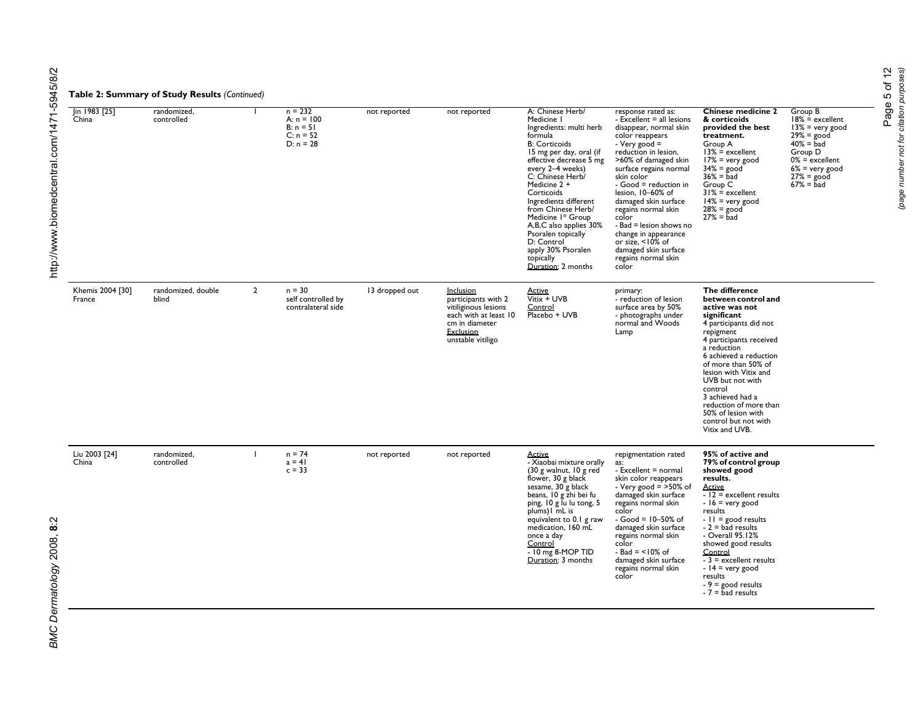| Jin 1983 [25]<br>China     | randomized,<br>controlled   |                | $n = 232$<br>A: $n = 100$<br>$B: n = 51$<br>$C: n = 52$<br>$D: n = 28$ | not reported   | not reported                                                                                                                          | A: Chinese Herb/<br>Medicine I<br>Ingredients: multi herb<br>formula<br><b>B: Corticoids</b><br>15 mg per day, oral (if<br>effective decrease 5 mg<br>every 2-4 weeks)<br>C: Chinese Herb/<br>Medicine 2 +<br>Corticoids<br>Ingredients different<br>from Chinese Herb/<br>Medicine I* Group<br>A,B,C also applies 30%<br>Psoralen topically<br>D: Control<br>apply 30% Psoralen<br>topically<br>Duration: 2 months | response rated as:<br>- Excellent $=$ all lesions<br>disappear, normal skin<br>color reappears<br>- Very good $=$<br>reduction in lesion,<br>>60% of damaged skin<br>surface regains normal<br>skin color<br>- Good = reduction in<br>lesion, 10-60% of<br>damaged skin surface<br>regains normal skin<br>color<br>- Bad = lesion shows no<br>change in appearance<br>or size, $<$ 10% of<br>damaged skin surface<br>regains normal skin<br>color | <b>Chinese medicine 2</b><br>& corticoids<br>provided the best<br>treatment.<br>Group A<br>$13\% =$ excellent<br>$17%$ = very good<br>$34\% = good$<br>$36\% = \mathrm{bad}$<br>Group C<br>$31\%$ = excellent<br>$14%$ = very good<br>$28\%$ = good<br>$27\% =$ bad                                                                                                            | Group B<br>$18\% =$ excellent<br>$13%$ = very good<br>$29\% = good$<br>$40\% =$ bad<br>Group D<br>$0\% =$ excellent<br>$6\%$ = very good<br>$27\% = \text{good}$<br>$67\% = \bar{b}$ ad |
|----------------------------|-----------------------------|----------------|------------------------------------------------------------------------|----------------|---------------------------------------------------------------------------------------------------------------------------------------|---------------------------------------------------------------------------------------------------------------------------------------------------------------------------------------------------------------------------------------------------------------------------------------------------------------------------------------------------------------------------------------------------------------------|---------------------------------------------------------------------------------------------------------------------------------------------------------------------------------------------------------------------------------------------------------------------------------------------------------------------------------------------------------------------------------------------------------------------------------------------------|--------------------------------------------------------------------------------------------------------------------------------------------------------------------------------------------------------------------------------------------------------------------------------------------------------------------------------------------------------------------------------|-----------------------------------------------------------------------------------------------------------------------------------------------------------------------------------------|
| Khemis 2004 [30]<br>France | randomized, double<br>blind | $\overline{2}$ | $n = 30$<br>self controlled by<br>contralateral side                   | 13 dropped out | Inclusion<br>participants with 2<br>vitiliginous lesions<br>each with at least 10<br>cm in diameter<br>Exclusion<br>unstable vitiligo | Active<br>Vitix + UVB<br>Control<br>Placebo + UVB                                                                                                                                                                                                                                                                                                                                                                   | primary:<br>- reduction of lesion<br>surface area by 50%<br>- photographs under<br>normal and Woods<br>Lamp                                                                                                                                                                                                                                                                                                                                       | The difference<br>between control and<br>active was not<br>significant<br>4 participants did not<br>repigment<br>4 participants received<br>a reduction<br>6 achieved a reduction<br>of more than 50% of<br>lesion with Vitix and<br>UVB but not with<br>control<br>3 achieved had a<br>reduction of more than<br>50% of lesion with<br>control but not with<br>Vitix and UVB. |                                                                                                                                                                                         |
| Liu 2003 [24]<br>China     | randomized.<br>controlled   | $\blacksquare$ | $n = 74$<br>$a = 41$<br>$c = 33$                                       | not reported   | not reported                                                                                                                          | Active<br>- Xiaobai mixture orally<br>$(30 \text{ g}$ walnut, $10 \text{ g}$ red<br>flower, 30 g black<br>sesame, 30 g black<br>beans, 10 g zhi bei fu<br>ping, 10 g lu lu tong, 5<br>plums) I mL is<br>equivalent to 0.1 g raw<br>medication, 160 mL<br>once a day<br>Control<br>- 10 mg 8-MOP TID<br>Duration: 3 months                                                                                           | repigmentation rated<br>as:<br>- Excellent = normal<br>skin color reappears<br>- Very good = $>50\%$ of<br>damaged skin surface<br>regains normal skin<br>color<br>- Good = $10 - 50\%$ of<br>damaged skin surface<br>regains normal skin<br>color<br>- Bad = $<$ 10% of<br>damaged skin surface<br>regains normal skin<br>color                                                                                                                  | 95% of active and<br>79% of control group<br>showed good<br>results.<br>Active<br>$-12$ = excellent results<br>$-16$ = very good<br>results<br>$-11$ = good results<br>$-2$ = bad results<br>- Overall 95.12%<br>showed good results<br>Control<br>$-3$ = excellent results<br>$-14$ = very good<br>results<br>$-9$ = good results<br>$-7$ = bad results                       |                                                                                                                                                                                         |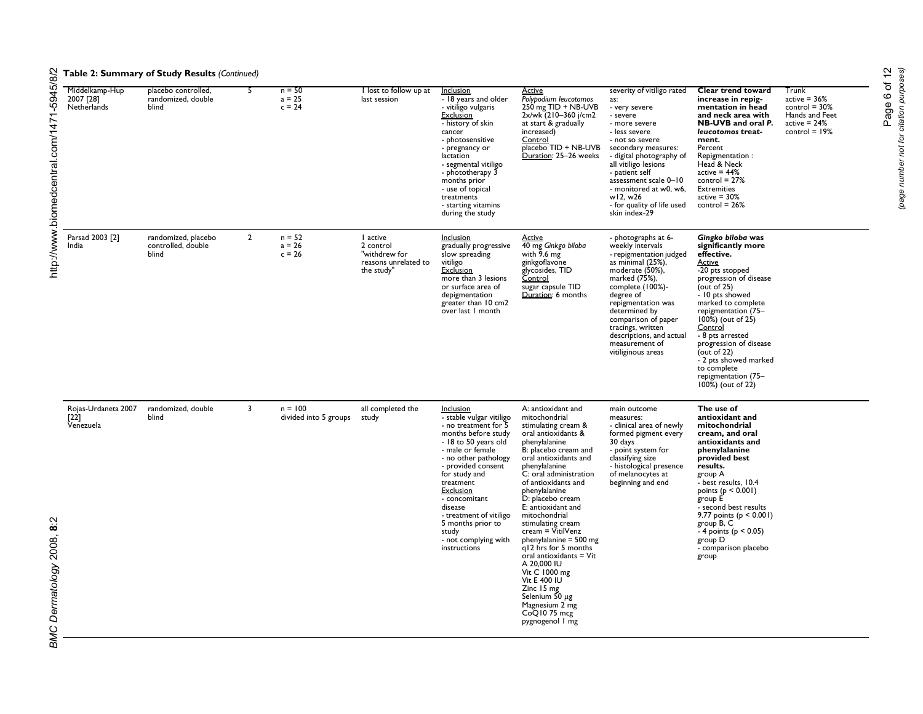| Middelkamp-Hup<br>2007 [28]<br>Netherlands | placebo controlled,<br>randomized, double<br>blind | 5                       | $n = 50$<br>$a = 25$<br>$c = 24$   | I lost to follow up at<br>last session                                       | Inclusion<br>- 18 years and older<br>- vitiligo vulgaris<br>Exclusion<br>- history of skin<br>cancer<br>- photosensitive<br>- pregnancy or<br>lactation<br>- segmental vitiligo<br>- phototherapy 3<br>months prior<br>- use of topical<br>treatments<br>- starting vitamins<br>during the study                                                       | <b>Active</b><br>Polypodium leucotomos<br>250 mg TID + NB-UVB<br>2x/wk (210-360 j/cm2<br>at start & gradually<br>increased)<br>Control<br>placebo TID + NB-UVB<br>Duration: 25-26 weeks                                                                                                                                                                                                                                                                                                                                                                                         | severity of vitiligo rated<br>as:<br>- very severe<br>- severe<br>- more severe<br>- less severe<br>- not so severe<br>secondary measures:<br>- digital photography of<br>all vitiligo lesions<br>- patient self<br>assessment scale 0-10<br>- monitored at w0, w6,<br>w12. w26<br>- for quality of life used<br>skin index-29 | <b>Clear trend toward</b><br>increase in repig-<br>mentation in head<br>and neck area with<br>NB-UVB and oral P.<br>leucotomos treat-<br>ment.<br>Percent<br>Repigmentation:<br>Head & Neck<br>$active = 44%$<br>control = $27%$<br>Extremities<br>$active = 30%$<br>control = $26%$                                                                                                          | Trunk<br>$active = 36%$<br>control = $30\%$<br>Hands and Feet<br>$active = 24%$<br>control = $19%$ |
|--------------------------------------------|----------------------------------------------------|-------------------------|------------------------------------|------------------------------------------------------------------------------|--------------------------------------------------------------------------------------------------------------------------------------------------------------------------------------------------------------------------------------------------------------------------------------------------------------------------------------------------------|---------------------------------------------------------------------------------------------------------------------------------------------------------------------------------------------------------------------------------------------------------------------------------------------------------------------------------------------------------------------------------------------------------------------------------------------------------------------------------------------------------------------------------------------------------------------------------|--------------------------------------------------------------------------------------------------------------------------------------------------------------------------------------------------------------------------------------------------------------------------------------------------------------------------------|-----------------------------------------------------------------------------------------------------------------------------------------------------------------------------------------------------------------------------------------------------------------------------------------------------------------------------------------------------------------------------------------------|----------------------------------------------------------------------------------------------------|
| Parsad 2003 [2]<br>India                   | randomized, placebo<br>controlled, double<br>blind | $\overline{2}$          | $n = 52$<br>$a = 26$<br>$c = 26$   | I active<br>2 control<br>"withdrew for<br>reasons unrelated to<br>the study" | Inclusion<br>gradually progressive<br>slow spreading<br>vitiligo<br>Exclusion<br>more than 3 lesions<br>or surface area of<br>depigmentation<br>greater than 10 cm2<br>over last I month                                                                                                                                                               | <b>Active</b><br>40 mg Ginkgo biloba<br>with 9.6 mg<br>ginkgoflavone<br>glycosides, TID<br>Control<br>sugar capsule TID<br>Duration: 6 months                                                                                                                                                                                                                                                                                                                                                                                                                                   | - photographs at 6-<br>weekly intervals<br>- repigmentation judged<br>as minimal (25%),<br>moderate (50%),<br>marked (75%),<br>complete (100%)-<br>degree of<br>repigmentation was<br>determined by<br>comparison of paper<br>tracings, written<br>descriptions, and actual<br>measurement of<br>vitiliginous areas            | Gingko biloba was<br>significantly more<br>effective.<br><b>Active</b><br>-20 pts stopped<br>progression of disease<br>(out of $25$ )<br>- 10 pts showed<br>marked to complete<br>repigmentation (75-<br>100%) (out of 25)<br>Control<br>- 8 pts arrested<br>progression of disease<br>(out of $22$ )<br>- 2 pts showed marked<br>to complete<br>repigmentation (75-<br>$100\%$ ) (out of 22) |                                                                                                    |
| Roias-Urdaneta 2007<br>$[22]$<br>Venezuela | randomized, double<br>blind                        | $\overline{\mathbf{3}}$ | $n = 100$<br>divided into 5 groups | all completed the<br>study                                                   | Inclusion<br>- stable vulgar vitiligo<br>- no treatment for 5<br>months before study<br>- 18 to 50 years old<br>- male or female<br>- no other pathology<br>- provided consent<br>for study and<br>treatment<br>Exclusion<br>- concomitant<br>disease<br>- treatment of vitiligo<br>5 months prior to<br>study<br>- not complying with<br>instructions | A: antioxidant and<br>mitochondrial<br>stimulating cream &<br>oral antioxidants &<br>phenylalanine<br>B: placebo cream and<br>oral antioxidants and<br>phenylalanine<br>C: oral administration<br>of antioxidants and<br>phenylalanine<br>D: placebo cream<br>E: antioxidant and<br>mitochondrial<br>stimulating cream<br>$c$ ream = $V$ itil $V$ enz<br>phenylalanine = 500 mg<br>q12 hrs for 5 months<br>oral antioxidants = Vit<br>A 20,000 IU<br>Vit C 1000 mg<br><b>Vit E 400 IU</b><br>Zinc 15 mg<br>Selenium 50 µg<br>Magnesium 2 mg<br>$CoQ1075$ mcg<br>pygnogenol I mg | main outcome<br>measures:<br>- clinical area of newly<br>formed pigment every<br>30 days<br>- point system for<br>classifying size<br>- histological presence<br>of melanocytes at<br>beginning and end                                                                                                                        | The use of<br>antioxidant and<br>mitochondrial<br>cream, and oral<br>antioxidants and<br>phenylalanine<br>provided best<br>results.<br>group A<br>- best results, 10.4<br>points ( $p < 0.001$ )<br>group E<br>- second best results<br>9.77 points ( $p < 0.001$ )<br>group B, C<br>$-4$ points ( $p < 0.05$ )<br>group D<br>- comparison placebo<br>group                                   |                                                                                                    |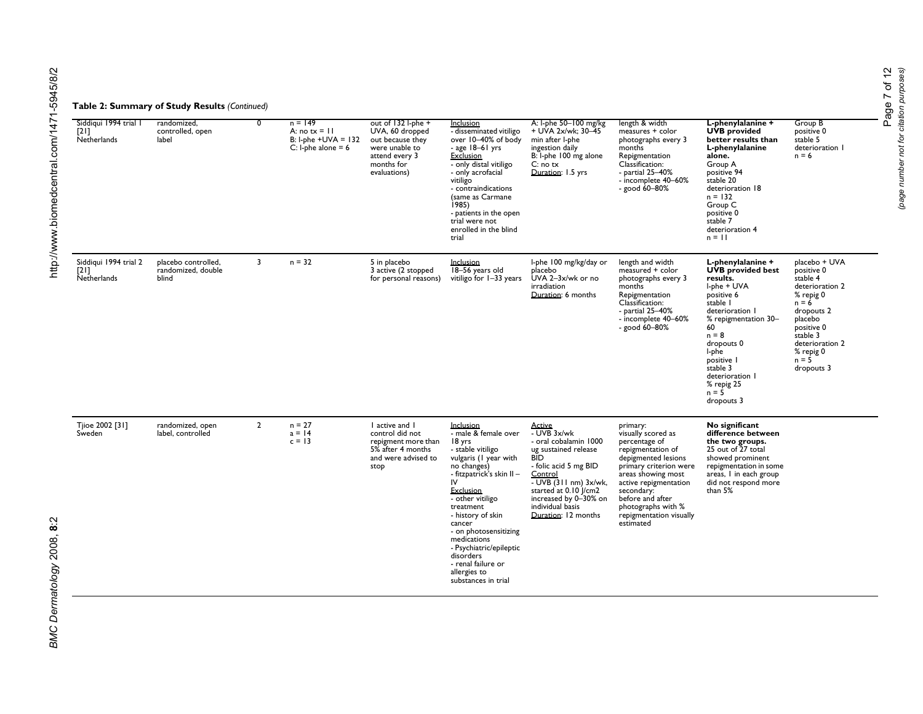| Siddiqui 1994 trial 1<br>$[21]$<br>Netherlands | randomized.<br>controlled, open<br>label           | $\overline{0}$ | $n = 149$<br>A: no $tx = 11$<br>B: I-phe $+UVA = 132$<br>C: I-phe alone = $6$ | out of 132 l-phe +<br>UVA, 60 dropped<br>out because they<br>were unable to<br>attend every 3<br>months for<br>evaluations) | Inclusion<br>- disseminated vitiligo<br>over 10-40% of body<br>- age 18-61 yrs<br>Exclusion<br>- only distal vitiligo<br>- only acrofacial<br>vitiligo<br>- contraindications<br>(same as Carmane<br>1985)<br>- patients in the open<br>trial were not<br>enrolled in the blind<br>trial                                                                              | A: I-phe 50-100 mg/kg<br>+ UVA 2x/wk; 30-45<br>min after I-phe<br>ingestion daily<br>B: I-phe 100 mg alone<br>C: no tx<br>Duration: 1.5 yrs                                                                                                       | length & width<br>measures + color<br>photographs every 3<br>months<br>Repigmentation<br>Classification:<br>- partial $25-40\%$<br>- incomplete 40-60%<br>$-$ good 60 $-80\%$                                                                                        | L-phenylalanine +<br><b>UVB</b> provided<br>better results than<br>L-phenylalanine<br>alone.<br>Group A<br>positive 94<br>stable 20<br>deterioration 18<br>$n = 132$<br>Group C<br>positive 0<br>stable 7<br>deterioration 4<br>$n = 11$                           | Group B<br>positive 0<br>stable 5<br>deterioration I<br>$n = 6$                                                                                                                                |
|------------------------------------------------|----------------------------------------------------|----------------|-------------------------------------------------------------------------------|-----------------------------------------------------------------------------------------------------------------------------|-----------------------------------------------------------------------------------------------------------------------------------------------------------------------------------------------------------------------------------------------------------------------------------------------------------------------------------------------------------------------|---------------------------------------------------------------------------------------------------------------------------------------------------------------------------------------------------------------------------------------------------|----------------------------------------------------------------------------------------------------------------------------------------------------------------------------------------------------------------------------------------------------------------------|--------------------------------------------------------------------------------------------------------------------------------------------------------------------------------------------------------------------------------------------------------------------|------------------------------------------------------------------------------------------------------------------------------------------------------------------------------------------------|
| Siddiqui 1994 trial 2<br>[21]<br>Netherlands   | placebo controlled,<br>randomized, double<br>blind | $\overline{3}$ | $n = 32$                                                                      | 5 in placebo<br>3 active (2 stopped<br>for personal reasons)                                                                | Inclusion<br>18-56 years old<br>vitiligo for 1-33 years                                                                                                                                                                                                                                                                                                               | I-phe 100 mg/kg/day or<br>placebo<br>UVA 2-3x/wk or no<br>irradiation<br>Duration: 6 months                                                                                                                                                       | length and width<br>measured + color<br>photographs every 3<br>months<br>Repigmentation<br>Classification:<br>- partial 25-40%<br>- incomplete 40-60%<br>$-$ good 60 $-80\%$                                                                                         | L-phenylalanine +<br>UVB provided best<br>results.<br>I-phe + UVA<br>positive 6<br>stable 1<br>deterioration I<br>% repigmentation 30-<br>60<br>$n = 8$<br>dropouts 0<br>I-phe<br>positive I<br>stable 3<br>deterioration  <br>% repig 25<br>$n = 5$<br>dropouts 3 | placebo + UVA<br>positive 0<br>stable 4<br>deterioration 2<br>% repig 0<br>$n = 6$<br>dropouts 2<br>placebo<br>positive 0<br>stable 3<br>deterioration 2<br>% repig 0<br>$n = 5$<br>dropouts 3 |
| Tjioe 2002 [31]<br>Sweden                      | randomized, open<br>label, controlled              | $\overline{2}$ | $n = 27$<br>$a = 14$<br>$c = 13$                                              | I active and I<br>control did not<br>repigment more than<br>5% after 4 months<br>and were advised to<br>stop                | Inclusion<br>- male & female over<br>18 yrs<br>- stable vitiligo<br>vulgaris (I year with<br>no changes)<br>- fitzpatrick's skin II -<br>IV<br>Exclusion<br>- other vitiligo<br>treatment<br>- history of skin<br>cancer<br>- on photosensitizing<br>medications<br>- Psychiatric/epileptic<br>disorders<br>- renal failure or<br>allergies to<br>substances in trial | Active<br>$-UVB$ $3x/wk$<br>- oral cobalamin 1000<br>ug sustained release<br><b>BID</b><br>- folic acid 5 mg BID<br>Control<br>- UVB (311 nm) 3x/wk,<br>started at 0.10 l/cm2<br>increased by 0-30% on<br>individual basis<br>Duration: 12 months | primary:<br>visually scored as<br>percentage of<br>repigmentation of<br>depigmented lesions<br>primary criterion were<br>areas showing most<br>active repigmentation<br>secondary:<br>before and after<br>photographs with %<br>repigmentation visually<br>estimated | No significant<br>difference between<br>the two groups.<br>25 out of 27 total<br>showed prominent<br>repigmentation in some<br>areas, I in each group<br>did not respond more<br>than 5%                                                                           |                                                                                                                                                                                                |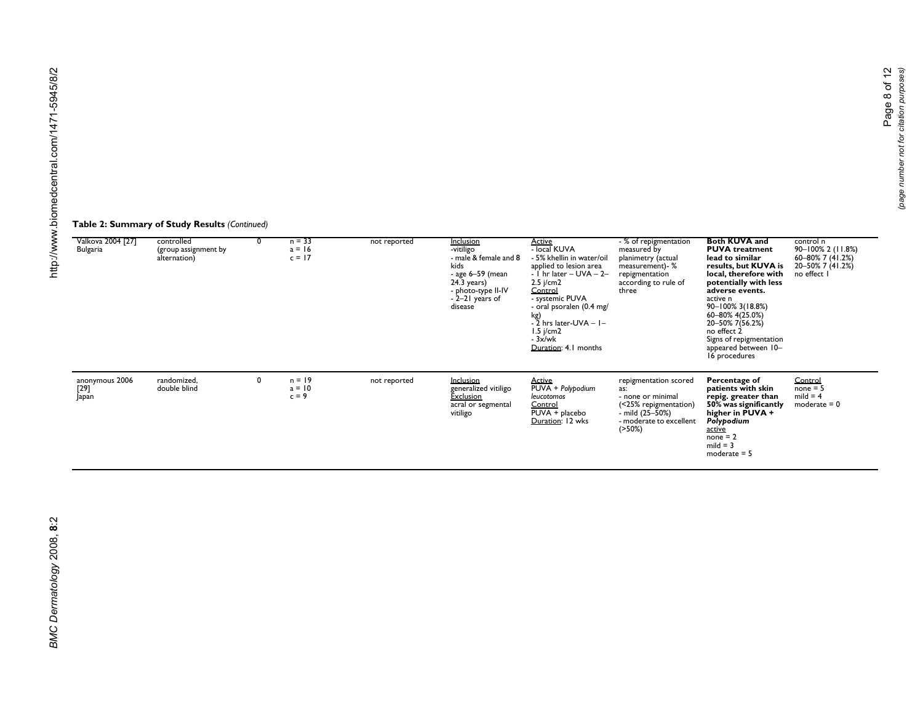| Valkova 2004 [27]<br>Bulgaria   | controlled<br>(group assignment by<br>alternation) |             | $n = 33$<br>$a = 16$<br>$c = 17$ | not reported | Inclusion<br>-vitiligo<br>- male & female and 8<br>kids<br>- age $6-59$ (mean<br>24.3 years)<br>- photo-type II-IV<br>-2-21 years of<br>disease | <b>Active</b><br>- local KUVA<br>- 5% khellin in water/oil<br>applied to lesion area<br>- $\overline{I}$ hr later – UVA – 2–<br>$2.5$ j/cm $2$<br>Control<br>- systemic PUVA<br>- oral psoralen (0.4 mg/<br>kg)<br>$-2$ hrs later-UVA $-1-$<br>$1.5$ i/cm2<br>$-3x/wk$<br>Duration: 4.1 months | - % of repigmentation<br>measured by<br>planimetry (actual<br>measurement)- %<br>repigmentation<br>according to rule of<br>three   | <b>Both KUVA and</b><br><b>PUVA</b> treatment<br>lead to similar<br>results, but KUVA is<br>local, therefore with<br>potentially with less<br>adverse events.<br>active n<br>90-100% 3(18.8%)<br>60-80% 4(25.0%)<br>20-50% 7(56.2%)<br>no effect 2<br>Signs of repigmentation<br>appeared between 10-<br>16 procedures | control n<br>90-100% 2 (11.8%)<br>60-80% 7 (41.2%)<br>20-50% 7 (41.2%)<br>no effect I |
|---------------------------------|----------------------------------------------------|-------------|----------------------------------|--------------|-------------------------------------------------------------------------------------------------------------------------------------------------|------------------------------------------------------------------------------------------------------------------------------------------------------------------------------------------------------------------------------------------------------------------------------------------------|------------------------------------------------------------------------------------------------------------------------------------|------------------------------------------------------------------------------------------------------------------------------------------------------------------------------------------------------------------------------------------------------------------------------------------------------------------------|---------------------------------------------------------------------------------------|
| anonymous 2006<br>[29]<br>Japan | randomized,<br>double blind                        | $\mathbf 0$ | $n = 19$<br>$a = 10$<br>$c = 9$  | not reported | Inclusion<br>generalized vitiligo<br><b>Exclusion</b><br>acral or segmental<br>vitiligo                                                         | Active<br>PUVA + Polypodium<br>leucotomos<br>Control<br>PUVA + placebo<br>Duration: 12 wks                                                                                                                                                                                                     | repigmentation scored<br>as:<br>- none or minimal<br>(<25% repigmentation)<br>- mild (25–50%)<br>- moderate to excellent<br>(250%) | Percentage of<br>patients with skin<br>repig. greater than<br>50% was significantly<br>higher in PUVA +<br>Polypodium<br>active<br>$none = 2$<br>$mild = 3$<br>moderate $= 5$                                                                                                                                          | Control<br>$none = 5$<br>$mild = 4$<br>moderate $= 0$                                 |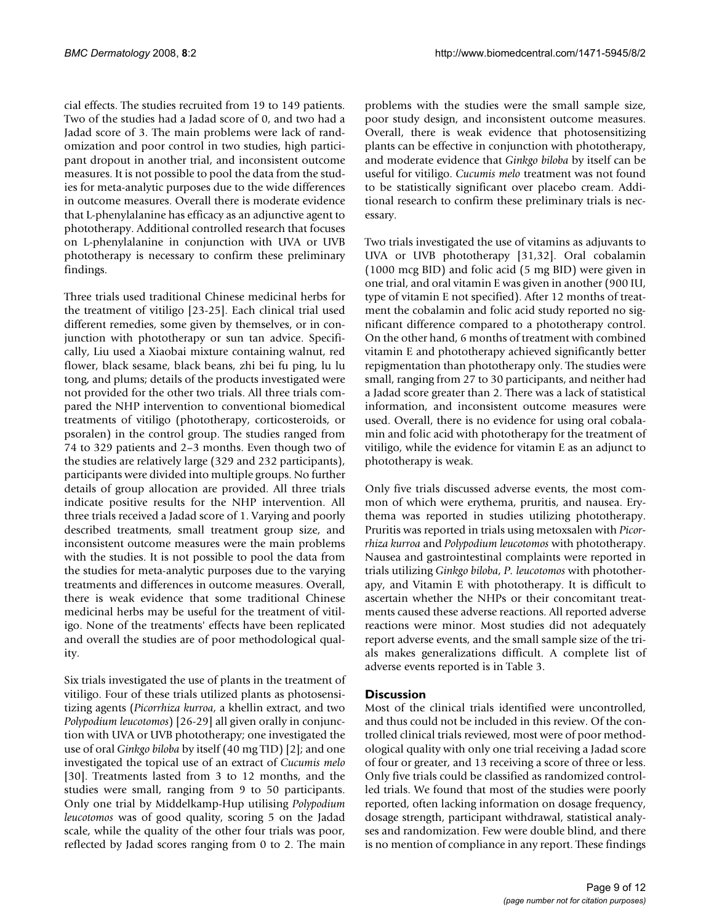cial effects. The studies recruited from 19 to 149 patients. Two of the studies had a Jadad score of 0, and two had a Jadad score of 3. The main problems were lack of randomization and poor control in two studies, high participant dropout in another trial, and inconsistent outcome measures. It is not possible to pool the data from the studies for meta-analytic purposes due to the wide differences in outcome measures. Overall there is moderate evidence that L-phenylalanine has efficacy as an adjunctive agent to phototherapy. Additional controlled research that focuses on L-phenylalanine in conjunction with UVA or UVB phototherapy is necessary to confirm these preliminary findings.

Three trials used traditional Chinese medicinal herbs for the treatment of vitiligo [23-25]. Each clinical trial used different remedies, some given by themselves, or in conjunction with phototherapy or sun tan advice. Specifically, Liu used a Xiaobai mixture containing walnut, red flower, black sesame, black beans, zhi bei fu ping, lu lu tong, and plums; details of the products investigated were not provided for the other two trials. All three trials compared the NHP intervention to conventional biomedical treatments of vitiligo (phototherapy, corticosteroids, or psoralen) in the control group. The studies ranged from 74 to 329 patients and 2–3 months. Even though two of the studies are relatively large (329 and 232 participants), participants were divided into multiple groups. No further details of group allocation are provided. All three trials indicate positive results for the NHP intervention. All three trials received a Jadad score of 1. Varying and poorly described treatments, small treatment group size, and inconsistent outcome measures were the main problems with the studies. It is not possible to pool the data from the studies for meta-analytic purposes due to the varying treatments and differences in outcome measures. Overall, there is weak evidence that some traditional Chinese medicinal herbs may be useful for the treatment of vitiligo. None of the treatments' effects have been replicated and overall the studies are of poor methodological quality.

Six trials investigated the use of plants in the treatment of vitiligo. Four of these trials utilized plants as photosensitizing agents (*Picorrhiza kurroa*, a khellin extract, and two *Polypodium leucotomos*) [26-29] all given orally in conjunction with UVA or UVB phototherapy; one investigated the use of oral *Ginkgo biloba* by itself (40 mg TID) [2]; and one investigated the topical use of an extract of *Cucumis melo* [30]. Treatments lasted from 3 to 12 months, and the studies were small, ranging from 9 to 50 participants. Only one trial by Middelkamp-Hup utilising *Polypodium leucotomos* was of good quality, scoring 5 on the Jadad scale, while the quality of the other four trials was poor, reflected by Jadad scores ranging from 0 to 2. The main

problems with the studies were the small sample size, poor study design, and inconsistent outcome measures. Overall, there is weak evidence that photosensitizing plants can be effective in conjunction with phototherapy, and moderate evidence that *Ginkgo biloba* by itself can be useful for vitiligo. *Cucumis melo* treatment was not found to be statistically significant over placebo cream. Additional research to confirm these preliminary trials is necessary.

Two trials investigated the use of vitamins as adjuvants to UVA or UVB phototherapy [31,32]. Oral cobalamin (1000 mcg BID) and folic acid (5 mg BID) were given in one trial, and oral vitamin E was given in another (900 IU, type of vitamin E not specified). After 12 months of treatment the cobalamin and folic acid study reported no significant difference compared to a phototherapy control. On the other hand, 6 months of treatment with combined vitamin E and phototherapy achieved significantly better repigmentation than phototherapy only. The studies were small, ranging from 27 to 30 participants, and neither had a Jadad score greater than 2. There was a lack of statistical information, and inconsistent outcome measures were used. Overall, there is no evidence for using oral cobalamin and folic acid with phototherapy for the treatment of vitiligo, while the evidence for vitamin E as an adjunct to phototherapy is weak.

Only five trials discussed adverse events, the most common of which were erythema, pruritis, and nausea. Erythema was reported in studies utilizing phototherapy. Pruritis was reported in trials using metoxsalen with *Picorrhiza kurroa* and *Polypodium leucotomos* with phototherapy. Nausea and gastrointestinal complaints were reported in trials utilizing *Ginkgo biloba*, *P. leucotomos* with phototherapy, and Vitamin E with phototherapy. It is difficult to ascertain whether the NHPs or their concomitant treatments caused these adverse reactions. All reported adverse reactions were minor. Most studies did not adequately report adverse events, and the small sample size of the trials makes generalizations difficult. A complete list of adverse events reported is in Table 3.

# **Discussion**

Most of the clinical trials identified were uncontrolled, and thus could not be included in this review. Of the controlled clinical trials reviewed, most were of poor methodological quality with only one trial receiving a Jadad score of four or greater, and 13 receiving a score of three or less. Only five trials could be classified as randomized controlled trials. We found that most of the studies were poorly reported, often lacking information on dosage frequency, dosage strength, participant withdrawal, statistical analyses and randomization. Few were double blind, and there is no mention of compliance in any report. These findings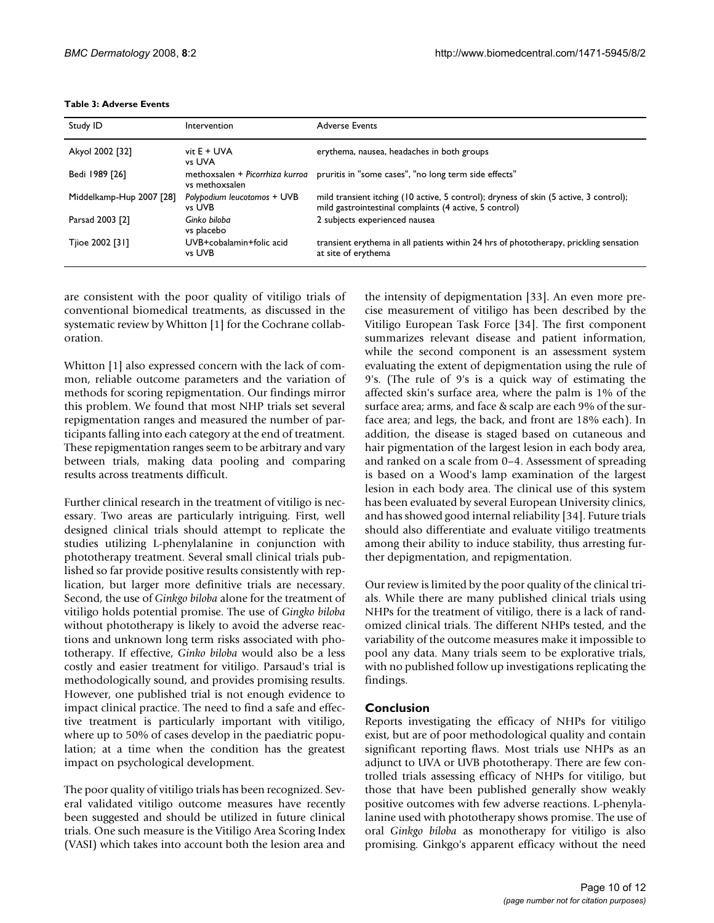| Study ID                 | Intervention                          | <b>Adverse Events</b>                                                                                                                           |
|--------------------------|---------------------------------------|-------------------------------------------------------------------------------------------------------------------------------------------------|
| Akyol 2002 [32]          | vit E + UVA<br>vs UVA                 | erythema, nausea, headaches in both groups                                                                                                      |
| Bedi 1989 [26]           | vs methoxsalen                        | methoxsalen + Picorrhiza kurroa pruritis in "some cases", "no long term side effects"                                                           |
| Middelkamp-Hup 2007 [28] | Polybodium leucotomos + UVB<br>vs UVB | mild transient itching (10 active, 5 control); dryness of skin (5 active, 3 control);<br>mild gastrointestinal complaints (4 active, 5 control) |
| Parsad 2003 [2]          | Ginko biloba<br>vs placebo            | 2 subjects experienced nausea                                                                                                                   |
| Tiioe 2002 [31]          | UVB+cobalamin+folic acid<br>vs UVB    | transient erythema in all patients within 24 hrs of phototherapy, prickling sensation<br>at site of erythema                                    |

#### **Table 3: Adverse Events**

are consistent with the poor quality of vitiligo trials of conventional biomedical treatments, as discussed in the systematic review by Whitton [1] for the Cochrane collaboration.

Whitton [1] also expressed concern with the lack of common, reliable outcome parameters and the variation of methods for scoring repigmentation. Our findings mirror this problem. We found that most NHP trials set several repigmentation ranges and measured the number of participants falling into each category at the end of treatment. These repigmentation ranges seem to be arbitrary and vary between trials, making data pooling and comparing results across treatments difficult.

Further clinical research in the treatment of vitiligo is necessary. Two areas are particularly intriguing. First, well designed clinical trials should attempt to replicate the studies utilizing L-phenylalanine in conjunction with phototherapy treatment. Several small clinical trials published so far provide positive results consistently with replication, but larger more definitive trials are necessary. Second, the use of *Ginkgo biloba* alone for the treatment of vitiligo holds potential promise. The use of *Gingko biloba* without phototherapy is likely to avoid the adverse reactions and unknown long term risks associated with phototherapy. If effective, *Ginko biloba* would also be a less costly and easier treatment for vitiligo. Parsaud's trial is methodologically sound, and provides promising results. However, one published trial is not enough evidence to impact clinical practice. The need to find a safe and effective treatment is particularly important with vitiligo, where up to 50% of cases develop in the paediatric population; at a time when the condition has the greatest impact on psychological development.

The poor quality of vitiligo trials has been recognized. Several validated vitiligo outcome measures have recently been suggested and should be utilized in future clinical trials. One such measure is the Vitiligo Area Scoring Index (VASI) which takes into account both the lesion area and

the intensity of depigmentation [33]. An even more precise measurement of vitiligo has been described by the Vitiligo European Task Force [34]. The first component summarizes relevant disease and patient information, while the second component is an assessment system evaluating the extent of depigmentation using the rule of 9's. (The rule of 9's is a quick way of estimating the affected skin's surface area, where the palm is 1% of the surface area; arms, and face & scalp are each 9% of the surface area; and legs, the back, and front are 18% each). In addition, the disease is staged based on cutaneous and hair pigmentation of the largest lesion in each body area, and ranked on a scale from 0–4. Assessment of spreading is based on a Wood's lamp examination of the largest lesion in each body area. The clinical use of this system has been evaluated by several European University clinics, and has showed good internal reliability [34]. Future trials should also differentiate and evaluate vitiligo treatments among their ability to induce stability, thus arresting further depigmentation, and repigmentation.

Our review is limited by the poor quality of the clinical trials. While there are many published clinical trials using NHPs for the treatment of vitiligo, there is a lack of randomized clinical trials. The different NHPs tested, and the variability of the outcome measures make it impossible to pool any data. Many trials seem to be explorative trials, with no published follow up investigations replicating the findings.

## **Conclusion**

Reports investigating the efficacy of NHPs for vitiligo exist, but are of poor methodological quality and contain significant reporting flaws. Most trials use NHPs as an adjunct to UVA or UVB phototherapy. There are few controlled trials assessing efficacy of NHPs for vitiligo, but those that have been published generally show weakly positive outcomes with few adverse reactions. L-phenylalanine used with phototherapy shows promise. The use of oral *Ginkgo biloba* as monotherapy for vitiligo is also promising. Ginkgo's apparent efficacy without the need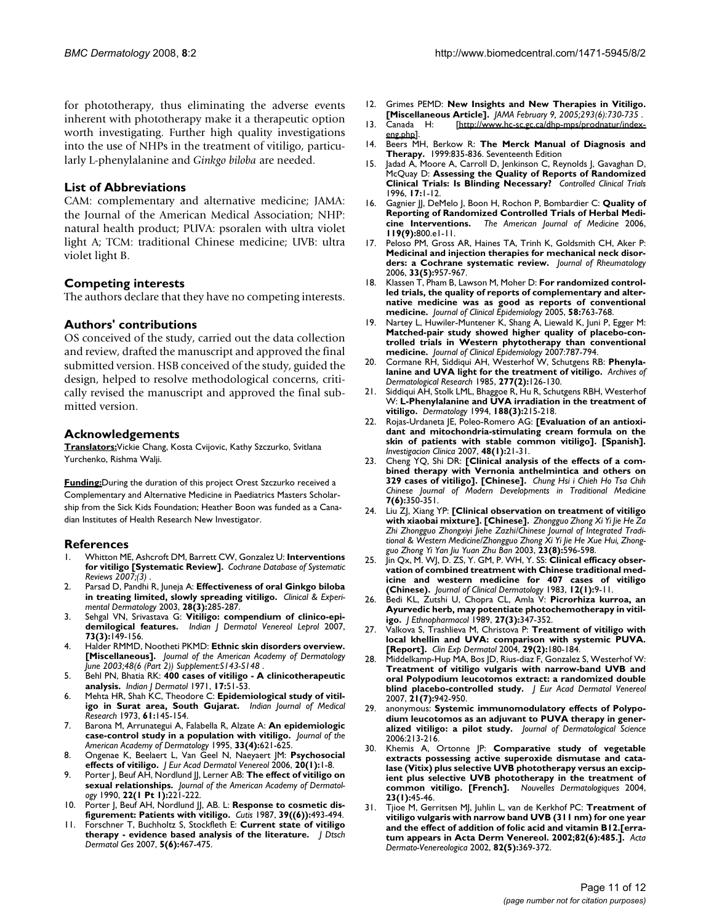for phototherapy, thus eliminating the adverse events inherent with phototherapy make it a therapeutic option worth investigating. Further high quality investigations into the use of NHPs in the treatment of vitiligo, particularly L-phenylalanine and *Ginkgo biloba* are needed.

## **List of Abbreviations**

CAM: complementary and alternative medicine; JAMA: the Journal of the American Medical Association; NHP: natural health product; PUVA: psoralen with ultra violet light A; TCM: traditional Chinese medicine; UVB: ultra violet light B.

## **Competing interests**

The authors declare that they have no competing interests.

## **Authors' contributions**

OS conceived of the study, carried out the data collection and review, drafted the manuscript and approved the final submitted version. HSB conceived of the study, guided the design, helped to resolve methodological concerns, critically revised the manuscript and approved the final submitted version.

## **Acknowledgements**

**Translators:**Vickie Chang, Kosta Cvijovic, Kathy Szczurko, Svitlana Yurchenko, Rishma Walji.

**Funding:**During the duration of this project Orest Szczurko received a Complementary and Alternative Medicine in Paediatrics Masters Scholarship from the Sick Kids Foundation; Heather Boon was funded as a Canadian Institutes of Health Research New Investigator.

#### **References**

- 1. Whitton ME, Ashcroft DM, Barrett CW, Gonzalez U: **Interventions for vitiligo [Systematic Review].** *Cochrane Database of Systematic Reviews 2007;(3)* .
- Parsad D, Pandhi R, Juneja A: Effectiveness of oral Ginkgo biloba **in treating limited, slowly spreading vitiligo.** *Clinical & Experimental Dermatology* 2003, **28(3):**285-287.
- 3. Sehgal VN, Srivastava G: **[Vitiligo: compendium of clinico-epi](http://www.ncbi.nlm.nih.gov/entrez/query.fcgi?cmd=Retrieve&db=PubMed&dopt=Abstract&list_uids=17558045)[demilogical features.](http://www.ncbi.nlm.nih.gov/entrez/query.fcgi?cmd=Retrieve&db=PubMed&dopt=Abstract&list_uids=17558045)** *Indian J Dermatol Venereol Leprol* 2007, **73(3):**149-156.
- 4. Halder RMMD, Nootheti PKMD: **Ethnic skin disorders overview. [Miscellaneous].** *Journal of the American Academy of Dermatology June 2003;48(6 (Part 2)) Supplement:S143-S148* .
- 5. Behl PN, Bhatia RK: **400 cases of vitiligo A clinicotherapeutic analysis.** *Indian J Dermatol* 1971, **17:**51-53.
- 6. Mehta HR, Shah KC, Theodore C: **[Epidemiological study of vitil](http://www.ncbi.nlm.nih.gov/entrez/query.fcgi?cmd=Retrieve&db=PubMed&dopt=Abstract&list_uids=4756867)[igo in Surat area, South Gujarat.](http://www.ncbi.nlm.nih.gov/entrez/query.fcgi?cmd=Retrieve&db=PubMed&dopt=Abstract&list_uids=4756867)** *Indian Journal of Medical Research* 1973, **61:**145-154.
- 7. Barona M, Arrunategui A, Falabella R, Alzate A: **[An epidemiologic](http://www.ncbi.nlm.nih.gov/entrez/query.fcgi?cmd=Retrieve&db=PubMed&dopt=Abstract&list_uids=7673496) [case-control study in a population with vitiligo.](http://www.ncbi.nlm.nih.gov/entrez/query.fcgi?cmd=Retrieve&db=PubMed&dopt=Abstract&list_uids=7673496)** *Journal of the American Academy of Dermatology* 1995, **33(4):**621-625.
- 8. Ongenae K, Beelaert L, Van Geel N, Naeyaert JM: **[Psychosocial](http://www.ncbi.nlm.nih.gov/entrez/query.fcgi?cmd=Retrieve&db=PubMed&dopt=Abstract&list_uids=16405601) [effects of vitiligo.](http://www.ncbi.nlm.nih.gov/entrez/query.fcgi?cmd=Retrieve&db=PubMed&dopt=Abstract&list_uids=16405601)** *J Eur Acad Dermatol Venereol* 2006, **20(1):**1-8.
- Porter J, Beuf AH, Nordlund JJ, Lerner AB: [The effect of vitiligo on](http://www.ncbi.nlm.nih.gov/entrez/query.fcgi?cmd=Retrieve&db=PubMed&dopt=Abstract&list_uids=2312803) **[sexual relationships.](http://www.ncbi.nlm.nih.gov/entrez/query.fcgi?cmd=Retrieve&db=PubMed&dopt=Abstract&list_uids=2312803)** *Journal of the American Academy of Dermatology* 1990, **22(1 Pt 1):**221-222.
- 10. Porter J, Beuf AH, Nordlund JJ, AB. L: **[Response to cosmetic dis](http://www.ncbi.nlm.nih.gov/entrez/query.fcgi?cmd=Retrieve&db=PubMed&dopt=Abstract&list_uids=3608575)[figurement: Patients with vitiligo.](http://www.ncbi.nlm.nih.gov/entrez/query.fcgi?cmd=Retrieve&db=PubMed&dopt=Abstract&list_uids=3608575)** *Cutis* 1987, **39((6)):**493-494.
- 11. Forschner T, Buchholtz S, Stockfleth E: **[Current state of vitiligo](http://www.ncbi.nlm.nih.gov/entrez/query.fcgi?cmd=Retrieve&db=PubMed&dopt=Abstract&list_uids=17537039) [therapy - evidence based analysis of the literature.](http://www.ncbi.nlm.nih.gov/entrez/query.fcgi?cmd=Retrieve&db=PubMed&dopt=Abstract&list_uids=17537039)** *J Dtsch Dermatol Ges* 2007, **5(6):**467-475.
- 12. Grimes PEMD: **New Insights and New Therapies in Vitiligo.**
- **[Miscellaneous Article].** *JAMA February 9, 2005;293(6):730-735* . H: [[http://www.hc-sc.gc.ca/dhp-mps/prodnatur/index](http://www.hc-sc.gc.ca/dhp-mps/prodnatur/index-eng.php)[eng.php](http://www.hc-sc.gc.ca/dhp-mps/prodnatur/index-eng.php)].
- 14. Beers MH, Berkow R: **The Merck Manual of Diagnosis and Therapy.** 1999:835-836. Seventeenth Edition
- 15. Jadad A, Moore A, Carroll D, Jenkinson C, Reynolds J, Gavaghan D, McQuay D: **[Assessing the Quality of Reports of Randomized](http://www.ncbi.nlm.nih.gov/entrez/query.fcgi?cmd=Retrieve&db=PubMed&dopt=Abstract&list_uids=8721797) [Clinical Trials: Is Blinding Necessary?](http://www.ncbi.nlm.nih.gov/entrez/query.fcgi?cmd=Retrieve&db=PubMed&dopt=Abstract&list_uids=8721797)** *Controlled Clinical Trials* 1996, **17:**1-12.
- 16. Gagnier JJ, DeMelo J, Boon H, Rochon P, Bombardier C: **Quality of Reporting of Randomized Controlled Trials of Herbal Medicine Interventions.** *The American Journal of Medicine* 2006, **119(9):**800.e1-11.
- 17. Peloso PM, Gross AR, Haines TA, Trinh K, Goldsmith CH, Aker P: **[Medicinal and injection therapies for mechanical neck disor](http://www.ncbi.nlm.nih.gov/entrez/query.fcgi?cmd=Retrieve&db=PubMed&dopt=Abstract&list_uids=16652427)[ders: a Cochrane systematic review.](http://www.ncbi.nlm.nih.gov/entrez/query.fcgi?cmd=Retrieve&db=PubMed&dopt=Abstract&list_uids=16652427)** *Journal of Rheumatology* 2006, **33(5):**957-967.
- 18. Klassen T, Pham B, Lawson M, Moher D: **[For randomized control](http://www.ncbi.nlm.nih.gov/entrez/query.fcgi?cmd=Retrieve&db=PubMed&dopt=Abstract&list_uids=16018911)[led trials, the quality of reports of complementary and alter](http://www.ncbi.nlm.nih.gov/entrez/query.fcgi?cmd=Retrieve&db=PubMed&dopt=Abstract&list_uids=16018911)native medicine was as good as reports of conventional [medicine.](http://www.ncbi.nlm.nih.gov/entrez/query.fcgi?cmd=Retrieve&db=PubMed&dopt=Abstract&list_uids=16018911)** *Journal of Clinical Epidemiology* 2005, **58:**763-768.
- 19. Nartey L, Huwiler-Muntener K, Shang A, Liewald K, Juni P, Egger M: **[Matched-pair study showed higher quality of placebo-con](http://www.ncbi.nlm.nih.gov/entrez/query.fcgi?cmd=Retrieve&db=PubMed&dopt=Abstract&list_uids=17606174)trolled trials in Western phytotherapy than conventional [medicine.](http://www.ncbi.nlm.nih.gov/entrez/query.fcgi?cmd=Retrieve&db=PubMed&dopt=Abstract&list_uids=17606174)** *Journal of Clinical Epidemiology* 2007:787-794.
- Cormane RH, Siddiqui AH, Westerhof W, Schutgens RB: [Phenyla](http://www.ncbi.nlm.nih.gov/entrez/query.fcgi?cmd=Retrieve&db=PubMed&dopt=Abstract&list_uids=3885873)**[lanine and UVA light for the treatment of vitiligo.](http://www.ncbi.nlm.nih.gov/entrez/query.fcgi?cmd=Retrieve&db=PubMed&dopt=Abstract&list_uids=3885873)** *Archives of Dermatological Research* 1985, **277(2):**126-130.
- 21. Siddiqui AH, Stolk LML, Bhaggoe R, Hu R, Schutgens RBH, Westerhof W: **[L-Phenylalanine and UVA irradiation in the treatment of](http://www.ncbi.nlm.nih.gov/entrez/query.fcgi?cmd=Retrieve&db=PubMed&dopt=Abstract&list_uids=8186511) [vitiligo.](http://www.ncbi.nlm.nih.gov/entrez/query.fcgi?cmd=Retrieve&db=PubMed&dopt=Abstract&list_uids=8186511)** *Dermatology* 1994, **188(3):**215-218.
- 22. Rojas-Urdaneta JE, Poleo-Romero AG: **[\[Evaluation of an antioxi](http://www.ncbi.nlm.nih.gov/entrez/query.fcgi?cmd=Retrieve&db=PubMed&dopt=Abstract&list_uids=17432541)dant and mitochondria-stimulating cream formula on the [skin of patients with stable common vitiligo\]. \[Spanish\].](http://www.ncbi.nlm.nih.gov/entrez/query.fcgi?cmd=Retrieve&db=PubMed&dopt=Abstract&list_uids=17432541)** *Investigacion Clinica* 2007, **48(1):**21-31.
- 23. Cheng YQ, Shi DR: **[Clinical analysis of the effects of a combined therapy with Vernonia anthelmintica and others on 329 cases of vitiligo]. [Chinese].** *Chung Hsi i Chieh Ho Tsa Chih Chinese Journal of Modern Developments in Traditional Medicine* **7(6):**350-351.
- 24. Liu ZJ, Xiang YP: **[Clinical observation on treatment of vitiligo with xiaobai mixture]. [Chinese].** *Zhongguo Zhong Xi Yi Jie He Za Zhi Zhongguo Zhongxiyi Jiehe Zazhi/Chinese Journal of Integrated Traditional & Western Medicine/Zhongguo Zhong Xi Yi Jie He Xue Hui, Zhongguo Zhong Yi Yan Jiu Yuan Zhu Ban* 2003, **23(8):**596-598.
- 25. Jin Qx, M. WJ, D. ZS, Y. GM, P. WH, Y. SS: **Clinical efficacy observation of combined treatment with Chinese traditional medicine and western medicine for 407 cases of vitiligo (Chinese).** *Journal of Clinical Dermatology* 1983, **12(1):**9-11.
- 26. Bedi KL, Zutshi U, Chopra CL, Amla V: **[Picrorhiza kurroa, an](http://www.ncbi.nlm.nih.gov/entrez/query.fcgi?cmd=Retrieve&db=PubMed&dopt=Abstract&list_uids=2615440) [Ayurvedic herb, may potentiate photochemotherapy in vitil](http://www.ncbi.nlm.nih.gov/entrez/query.fcgi?cmd=Retrieve&db=PubMed&dopt=Abstract&list_uids=2615440)[igo.](http://www.ncbi.nlm.nih.gov/entrez/query.fcgi?cmd=Retrieve&db=PubMed&dopt=Abstract&list_uids=2615440)** *J Ethnopharmacol* 1989, **27(3):**347-352.
- 27. Valkova S, Trashlieva M, Christova P: **[Treatment of vitiligo with](http://www.ncbi.nlm.nih.gov/entrez/query.fcgi?cmd=Retrieve&db=PubMed&dopt=Abstract&list_uids=14987278) [local khellin and UVA: comparison with systemic PUVA.](http://www.ncbi.nlm.nih.gov/entrez/query.fcgi?cmd=Retrieve&db=PubMed&dopt=Abstract&list_uids=14987278) [\[Report\].](http://www.ncbi.nlm.nih.gov/entrez/query.fcgi?cmd=Retrieve&db=PubMed&dopt=Abstract&list_uids=14987278)** *Clin Exp Dermatol* 2004, **29(2):**180-184.
- 28. Middelkamp-Hup MA, Bos JD, Rius-diaz F, Gonzalez S, Westerhof W: **[Treatment of vitiligo vulgaris with narrow-band UVB and](http://www.ncbi.nlm.nih.gov/entrez/query.fcgi?cmd=Retrieve&db=PubMed&dopt=Abstract&list_uids=17659004) oral Polypodium leucotomos extract: a randomized double [blind placebo-controlled study.](http://www.ncbi.nlm.nih.gov/entrez/query.fcgi?cmd=Retrieve&db=PubMed&dopt=Abstract&list_uids=17659004)** *J Eur Acad Dermatol Venereol* 2007, **21(7):**942-950.
- 29. anonymous: **[Systemic immunomodulatory effects of Polypo](http://www.ncbi.nlm.nih.gov/entrez/query.fcgi?cmd=Retrieve&db=PubMed&dopt=Abstract&list_uids=16423508)[dium leucotomos as an adjuvant to PUVA therapy in gener](http://www.ncbi.nlm.nih.gov/entrez/query.fcgi?cmd=Retrieve&db=PubMed&dopt=Abstract&list_uids=16423508)[alized vitiligo: a pilot study.](http://www.ncbi.nlm.nih.gov/entrez/query.fcgi?cmd=Retrieve&db=PubMed&dopt=Abstract&list_uids=16423508)** *Journal of Dermatological Science* 2006:213-216.
- 30. Khemis A, Ortonne JP: **Comparative study of vegetable extracts possessing active superoxide dismutase and catalase (Vitix) plus selective UVB phototherapy versus an excipient plus selective UVB phototherapy in the treatment of common vitiligo. [French].** *Nouvelles Dermatologiques* 2004, **23(1):**45-46.
- 31. Tjioe M, Gerritsen MJ, Juhlin L, van de Kerkhof PC: **[Treatment of](http://www.ncbi.nlm.nih.gov/entrez/query.fcgi?cmd=Retrieve&db=PubMed&dopt=Abstract&list_uids=12430737) [vitiligo vulgaris with narrow band UVB \(311 nm\) for one year](http://www.ncbi.nlm.nih.gov/entrez/query.fcgi?cmd=Retrieve&db=PubMed&dopt=Abstract&list_uids=12430737) and the effect of addition of folic acid and vitamin B12.[erra[tum appears in Acta Derm Venereol. 2002;82\(6\):485.\].](http://www.ncbi.nlm.nih.gov/entrez/query.fcgi?cmd=Retrieve&db=PubMed&dopt=Abstract&list_uids=12430737)** *Acta Dermato-Venereologica* 2002, **82(5):**369-372.